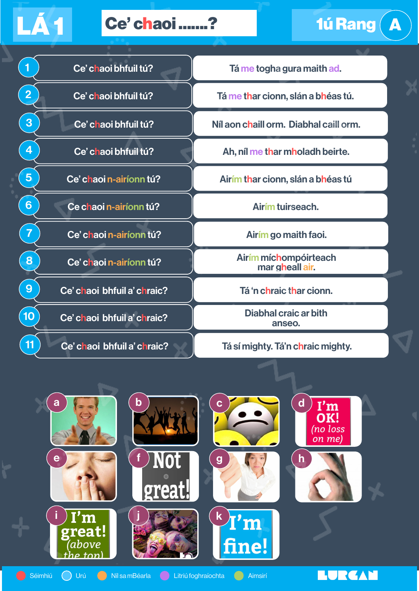## $L$ Á 1  $Ce'$  chaoi .......?

| 1              | Ce' chaoi bhfuil tú?        |
|----------------|-----------------------------|
| $\overline{2}$ | Ce' chaoi bhfuil tú?        |
| 3              | Ce' chaoi bhfuil tú?        |
| 4              | Ce' chaoi bhfuil tú?        |
| 5              | Ce' chaoi n-airíonn tú?     |
| $\overline{6}$ | Ce chaoi n-airíonn tú?      |
| $\overline{7}$ | Ce' chaoi n-airíonn tú?     |
| 8              | Ce' chaoi n-airíonn tú?     |
| 9              | Ce' chaoi bhfuil a' chraic? |
| 10             | Ce' chaoi bhfuil a' chraic? |
| 11             | Ce' chaoi bhfuil a' chraic? |

Tá me togha gura maith ad.

**11 – 1ú Rang (***A* 

 $\overline{\mathcal{L}}$ 

Tá me thar cionn, slán a bhéas tú.

Níl aon chaill orm. Diabhal caill orm.

Ah, níl me thar mholadh beirte.

Airím thar cionn, slán a bhéas tú

Airím tuirseach.

Airím go maith faoi.

Airím míchompóirteach mar gheall air.

Tá 'n chraic thar cionn.

Diabhal craic ar bith anseo.

Tá sí mighty. Tá'n chraic mighty.